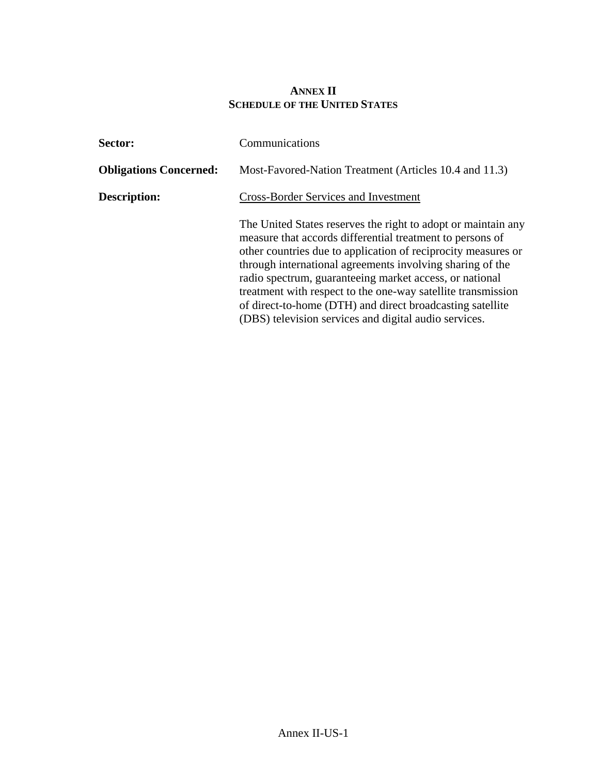## **ANNEX II SCHEDULE OF THE UNITED STATES**

| <b>Sector:</b>                | Communications                                                                                                                                                                                                                                                                                                                                                                                                                                                                                            |
|-------------------------------|-----------------------------------------------------------------------------------------------------------------------------------------------------------------------------------------------------------------------------------------------------------------------------------------------------------------------------------------------------------------------------------------------------------------------------------------------------------------------------------------------------------|
| <b>Obligations Concerned:</b> | Most-Favored-Nation Treatment (Articles 10.4 and 11.3)                                                                                                                                                                                                                                                                                                                                                                                                                                                    |
| <b>Description:</b>           | <b>Cross-Border Services and Investment</b>                                                                                                                                                                                                                                                                                                                                                                                                                                                               |
|                               | The United States reserves the right to adopt or maintain any<br>measure that accords differential treatment to persons of<br>other countries due to application of reciprocity measures or<br>through international agreements involving sharing of the<br>radio spectrum, guaranteeing market access, or national<br>treatment with respect to the one-way satellite transmission<br>of direct-to-home (DTH) and direct broadcasting satellite<br>(DBS) television services and digital audio services. |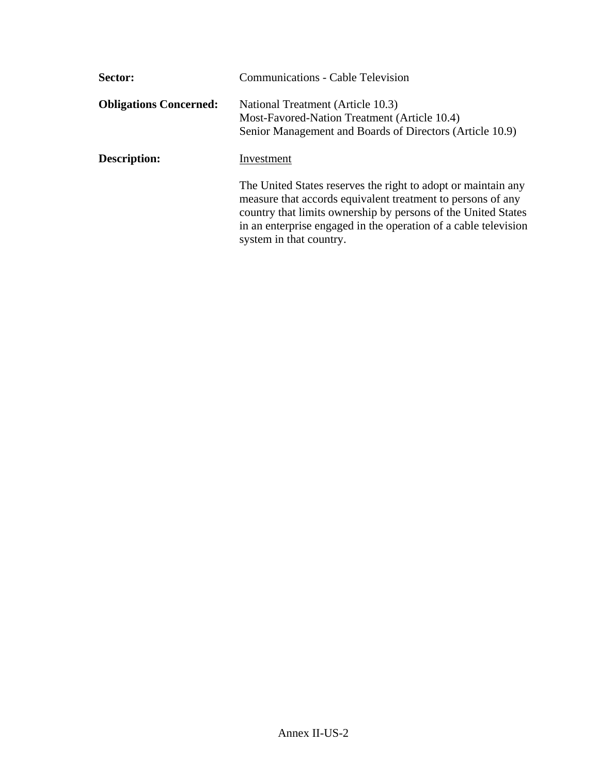| <b>Sector:</b>                | <b>Communications - Cable Television</b>                                                                                                                                                                                                                                                    |
|-------------------------------|---------------------------------------------------------------------------------------------------------------------------------------------------------------------------------------------------------------------------------------------------------------------------------------------|
| <b>Obligations Concerned:</b> | National Treatment (Article 10.3)<br>Most-Favored-Nation Treatment (Article 10.4)<br>Senior Management and Boards of Directors (Article 10.9)                                                                                                                                               |
| <b>Description:</b>           | Investment                                                                                                                                                                                                                                                                                  |
|                               | The United States reserves the right to adopt or maintain any<br>measure that accords equivalent treatment to persons of any<br>country that limits ownership by persons of the United States<br>in an enterprise engaged in the operation of a cable television<br>system in that country. |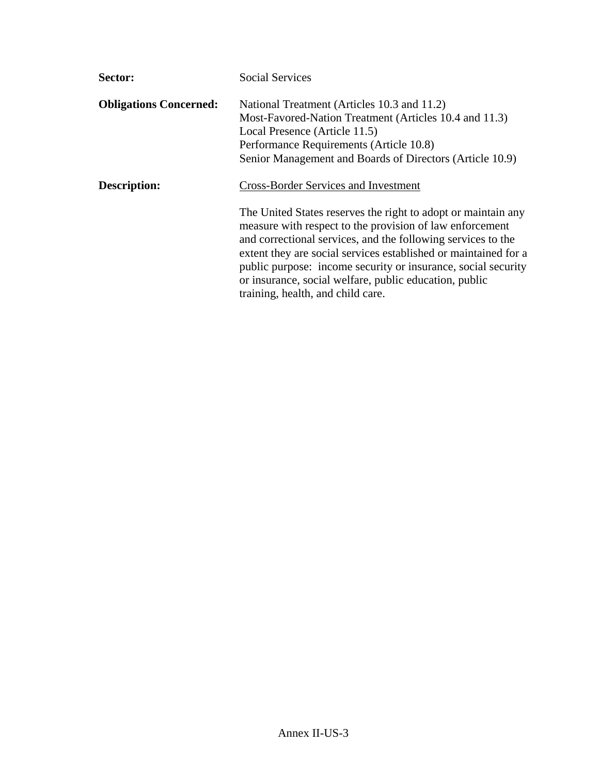| Sector:                       | <b>Social Services</b>                                                                                                                                                                                                                                                                                                                                                                                                       |
|-------------------------------|------------------------------------------------------------------------------------------------------------------------------------------------------------------------------------------------------------------------------------------------------------------------------------------------------------------------------------------------------------------------------------------------------------------------------|
| <b>Obligations Concerned:</b> | National Treatment (Articles 10.3 and 11.2)<br>Most-Favored-Nation Treatment (Articles 10.4 and 11.3)<br>Local Presence (Article 11.5)<br>Performance Requirements (Article 10.8)<br>Senior Management and Boards of Directors (Article 10.9)                                                                                                                                                                                |
| Description:                  | <b>Cross-Border Services and Investment</b>                                                                                                                                                                                                                                                                                                                                                                                  |
|                               | The United States reserves the right to adopt or maintain any<br>measure with respect to the provision of law enforcement<br>and correctional services, and the following services to the<br>extent they are social services established or maintained for a<br>public purpose: income security or insurance, social security<br>or insurance, social welfare, public education, public<br>training, health, and child care. |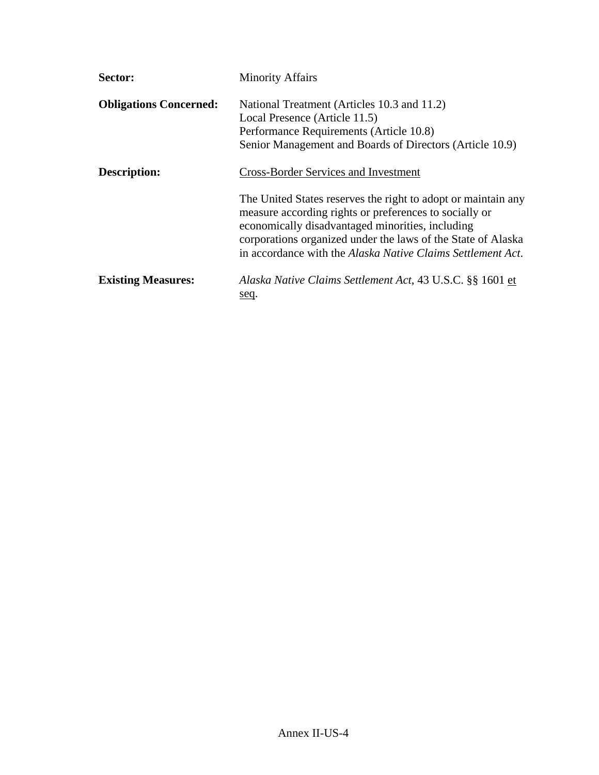| Sector:                       | <b>Minority Affairs</b>                                                                                                                                                                                                                                                                                    |
|-------------------------------|------------------------------------------------------------------------------------------------------------------------------------------------------------------------------------------------------------------------------------------------------------------------------------------------------------|
| <b>Obligations Concerned:</b> | National Treatment (Articles 10.3 and 11.2)<br>Local Presence (Article 11.5)<br>Performance Requirements (Article 10.8)<br>Senior Management and Boards of Directors (Article 10.9)                                                                                                                        |
| Description:                  | <b>Cross-Border Services and Investment</b>                                                                                                                                                                                                                                                                |
|                               | The United States reserves the right to adopt or maintain any<br>measure according rights or preferences to socially or<br>economically disadvantaged minorities, including<br>corporations organized under the laws of the State of Alaska<br>in accordance with the Alaska Native Claims Settlement Act. |
| <b>Existing Measures:</b>     | Alaska Native Claims Settlement Act, 43 U.S.C. §§ 1601 et<br>seq.                                                                                                                                                                                                                                          |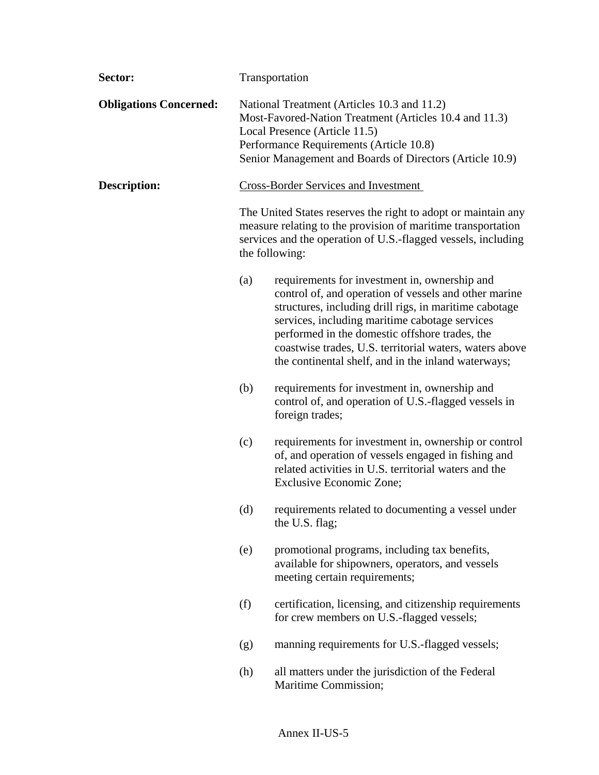| Sector:                       |     | Transportation                                                                                                                                                                                                                                                                                                                                                                         |
|-------------------------------|-----|----------------------------------------------------------------------------------------------------------------------------------------------------------------------------------------------------------------------------------------------------------------------------------------------------------------------------------------------------------------------------------------|
| <b>Obligations Concerned:</b> |     | National Treatment (Articles 10.3 and 11.2)<br>Most-Favored-Nation Treatment (Articles 10.4 and 11.3)<br>Local Presence (Article 11.5)<br>Performance Requirements (Article 10.8)<br>Senior Management and Boards of Directors (Article 10.9)                                                                                                                                          |
| Description:                  |     | <b>Cross-Border Services and Investment</b>                                                                                                                                                                                                                                                                                                                                            |
|                               |     | The United States reserves the right to adopt or maintain any<br>measure relating to the provision of maritime transportation<br>services and the operation of U.S.-flagged vessels, including<br>the following:                                                                                                                                                                       |
|                               | (a) | requirements for investment in, ownership and<br>control of, and operation of vessels and other marine<br>structures, including drill rigs, in maritime cabotage<br>services, including maritime cabotage services<br>performed in the domestic offshore trades, the<br>coastwise trades, U.S. territorial waters, waters above<br>the continental shelf, and in the inland waterways; |
|                               | (b) | requirements for investment in, ownership and<br>control of, and operation of U.S.-flagged vessels in<br>foreign trades;                                                                                                                                                                                                                                                               |
|                               | (c) | requirements for investment in, ownership or control<br>of, and operation of vessels engaged in fishing and<br>related activities in U.S. territorial waters and the<br>Exclusive Economic Zone;                                                                                                                                                                                       |
|                               | (d) | requirements related to documenting a vessel under<br>the U.S. flag;                                                                                                                                                                                                                                                                                                                   |
|                               | (e) | promotional programs, including tax benefits,<br>available for shipowners, operators, and vessels<br>meeting certain requirements;                                                                                                                                                                                                                                                     |
|                               | (f) | certification, licensing, and citizenship requirements<br>for crew members on U.S.-flagged vessels;                                                                                                                                                                                                                                                                                    |
|                               | (g) | manning requirements for U.S.-flagged vessels;                                                                                                                                                                                                                                                                                                                                         |
|                               | (h) | all matters under the jurisdiction of the Federal<br>Maritime Commission;                                                                                                                                                                                                                                                                                                              |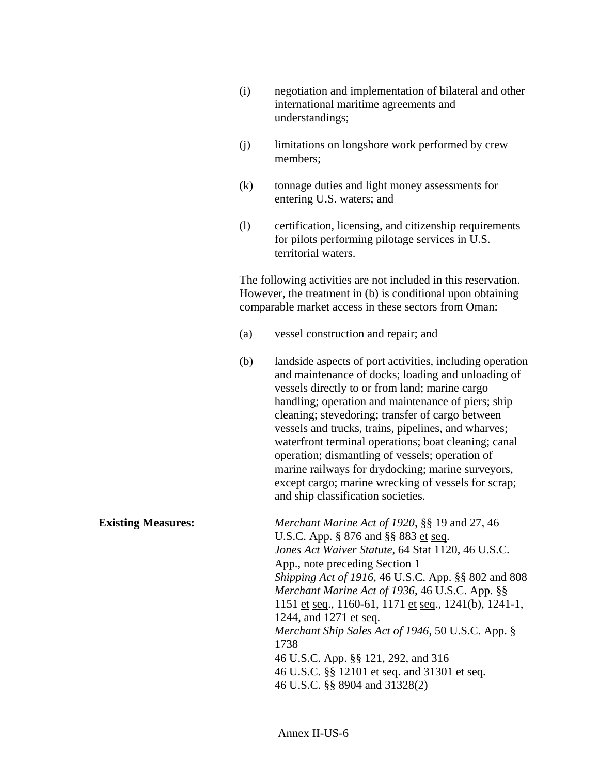| negotiation and implementation of bilateral and other |
|-------------------------------------------------------|
| international maritime agreements and                 |
| understandings;                                       |

- (j) limitations on longshore work performed by crew members;
- (k) tonnage duties and light money assessments for entering U.S. waters; and
- (l) certification, licensing, and citizenship requirements for pilots performing pilotage services in U.S. territorial waters.

 The following activities are not included in this reservation. However, the treatment in (b) is conditional upon obtaining comparable market access in these sectors from Oman:

- (a) vessel construction and repair; and
- (b) landside aspects of port activities, including operation and maintenance of docks; loading and unloading of vessels directly to or from land; marine cargo handling; operation and maintenance of piers; ship cleaning; stevedoring; transfer of cargo between vessels and trucks, trains, pipelines, and wharves; waterfront terminal operations; boat cleaning; canal operation; dismantling of vessels; operation of marine railways for drydocking; marine surveyors, except cargo; marine wrecking of vessels for scrap; and ship classification societies.

**Existing Measures:** *Merchant Marine Act of 1920*, §§ 19 and 27, 46 U.S.C. App. § 876 and §§ 883 et seq.  *Jones Act Waiver Statute*, 64 Stat 1120, 46 U.S.C. App., note preceding Section 1  *Shipping Act of 1916*, 46 U.S.C. App. §§ 802 and 808  *Merchant Marine Act of 1936*, 46 U.S.C. App. §§ 1151 et seq., 1160-61, 1171 et seq., 1241(b), 1241-1, 1244, and 1271 et seq.  *Merchant Ship Sales Act of 1946*, 50 U.S.C. App. § 1738 46 U.S.C. App. §§ 121, 292, and 316 46 U.S.C. §§ 12101 et seq. and 31301 et seq. 46 U.S.C. §§ 8904 and 31328(2)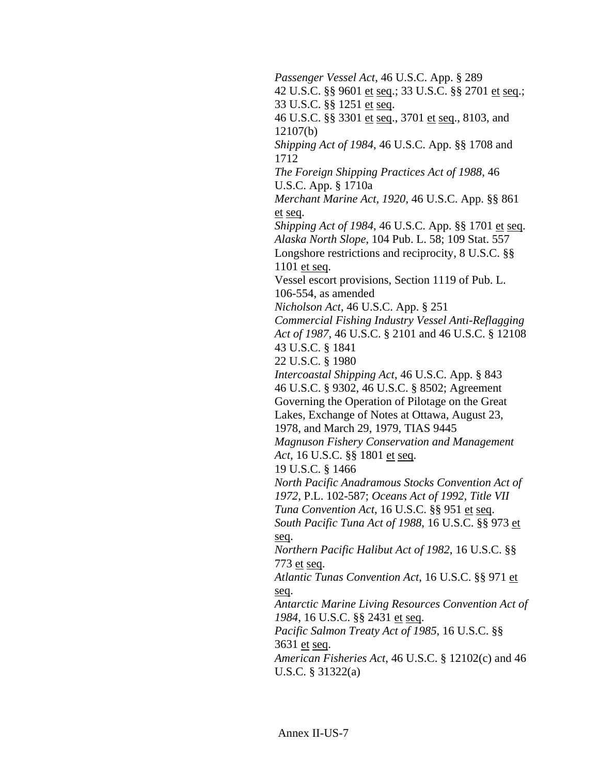*Passenger Vessel Act*, 46 U.S.C. App. § 289 42 U.S.C. §§ 9601 et seq.; 33 U.S.C. §§ 2701 et seq.; 33 U.S.C. §§ 1251 et seq. 46 U.S.C. §§ 3301 et seq., 3701 et seq., 8103, and 12107(b)  *Shipping Act of 1984*, 46 U.S.C. App. §§ 1708 and 1712  *The Foreign Shipping Practices Act of 1988*, 46 U.S.C. App. § 1710a  *Merchant Marine Act, 1920*, 46 U.S.C. App. §§ 861 et seq.  *Shipping Act of 1984*, 46 U.S.C. App. §§ 1701 et seq.  *Alaska North Slope*, 104 Pub. L. 58; 109 Stat. 557 Longshore restrictions and reciprocity, 8 U.S.C. §§ 1101 et seq. Vessel escort provisions, Section 1119 of Pub. L. 106-554, as amended  *Nicholson Act*, 46 U.S.C. App. § 251  *Commercial Fishing Industry Vessel Anti-Reflagging Act of 1987*, 46 U.S.C. § 2101 and 46 U.S.C. § 12108 43 U.S.C. § 1841 22 U.S.C. § 1980  *Intercoastal Shipping Act*, 46 U.S.C. App. § 843 46 U.S.C. § 9302, 46 U.S.C. § 8502; Agreement Governing the Operation of Pilotage on the Great Lakes, Exchange of Notes at Ottawa, August 23, 1978, and March 29, 1979, TIAS 9445  *Magnuson Fishery Conservation and Management Act*, 16 U.S.C. §§ 1801 et seq. 19 U.S.C. § 1466  *North Pacific Anadramous Stocks Convention Act of 1972*, P.L. 102-587; *Oceans Act of 1992, Title VII Tuna Convention Act*, 16 U.S.C. §§ 951 et seq.  *South Pacific Tuna Act of 1988*, 16 U.S.C. §§ 973 et seq.  *Northern Pacific Halibut Act of 1982*, 16 U.S.C. §§ 773 et seq.  *Atlantic Tunas Convention Act*, 16 U.S.C. §§ 971 et seq.  *Antarctic Marine Living Resources Convention Act of 1984*, 16 U.S.C. §§ 2431 et seq.  *Pacific Salmon Treaty Act of 1985*, 16 U.S.C. §§ 3631 et seq.  *American Fisheries Act*, 46 U.S.C. § 12102(c) and 46 U.S.C. § 31322(a)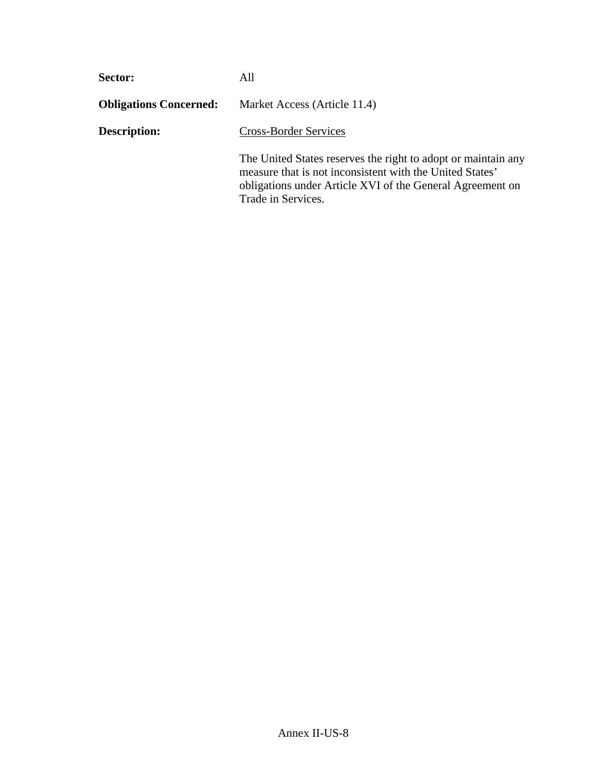| Sector:                       | All                                                                                                                                                                                                          |  |
|-------------------------------|--------------------------------------------------------------------------------------------------------------------------------------------------------------------------------------------------------------|--|
| <b>Obligations Concerned:</b> | Market Access (Article 11.4)                                                                                                                                                                                 |  |
| <b>Description:</b>           | <b>Cross-Border Services</b>                                                                                                                                                                                 |  |
|                               | The United States reserves the right to adopt or maintain any<br>measure that is not inconsistent with the United States'<br>obligations under Article XVI of the General Agreement on<br>Trade in Services. |  |